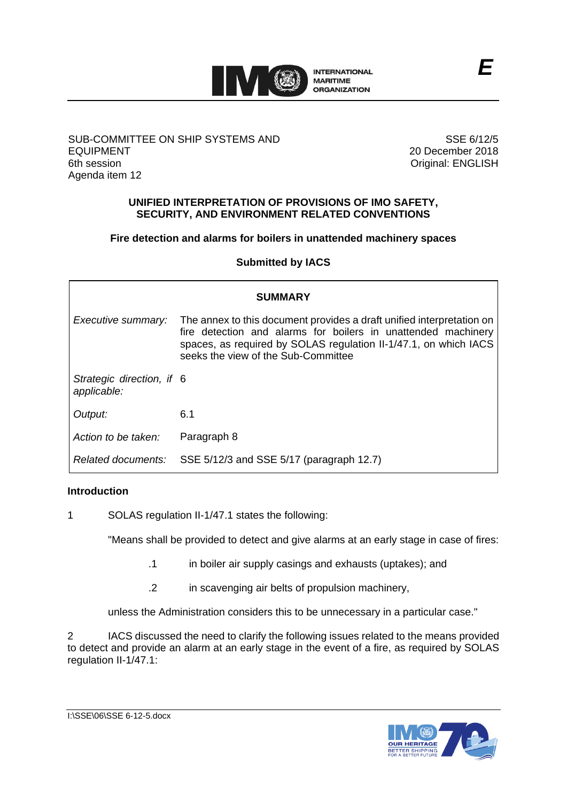

# SUB-COMMITTEE ON SHIP SYSTEMS AND EQUIPMENT 6th session Agenda item 12

SSE 6/12/5 20 December 2018 Original: ENGLISH

# **UNIFIED INTERPRETATION OF PROVISIONS OF IMO SAFETY, SECURITY, AND ENVIRONMENT RELATED CONVENTIONS**

# **Fire detection and alarms for boilers in unattended machinery spaces**

**Submitted by IACS**

| <b>SUMMARY</b>                           |                                                                                                                                                                                                                                                   |
|------------------------------------------|---------------------------------------------------------------------------------------------------------------------------------------------------------------------------------------------------------------------------------------------------|
| Executive summary:                       | The annex to this document provides a draft unified interpretation on<br>fire detection and alarms for boilers in unattended machinery<br>spaces, as required by SOLAS regulation II-1/47.1, on which IACS<br>seeks the view of the Sub-Committee |
| Strategic direction, if 6<br>applicable: |                                                                                                                                                                                                                                                   |
| Output:                                  | 6.1                                                                                                                                                                                                                                               |
| Action to be taken:                      | Paragraph 8                                                                                                                                                                                                                                       |
| Related documents:                       | SSE 5/12/3 and SSE 5/17 (paragraph 12.7)                                                                                                                                                                                                          |

# **Introduction**

1 SOLAS regulation II-1/47.1 states the following:

"Means shall be provided to detect and give alarms at an early stage in case of fires:

- .1 in boiler air supply casings and exhausts (uptakes); and
- .2 in scavenging air belts of propulsion machinery,

unless the Administration considers this to be unnecessary in a particular case."

2 IACS discussed the need to clarify the following issues related to the means provided to detect and provide an alarm at an early stage in the event of a fire, as required by SOLAS regulation II-1/47.1: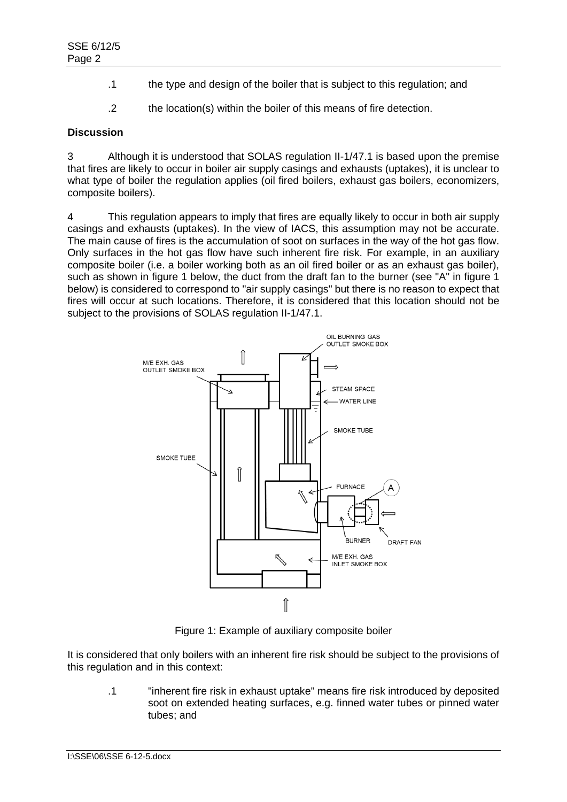- .1 the type and design of the boiler that is subject to this regulation; and
- .2 the location(s) within the boiler of this means of fire detection.

#### **Discussion**

3 Although it is understood that SOLAS regulation II-1/47.1 is based upon the premise that fires are likely to occur in boiler air supply casings and exhausts (uptakes), it is unclear to what type of boiler the regulation applies (oil fired boilers, exhaust gas boilers, economizers, composite boilers).

4 This regulation appears to imply that fires are equally likely to occur in both air supply casings and exhausts (uptakes). In the view of IACS, this assumption may not be accurate. The main cause of fires is the accumulation of soot on surfaces in the way of the hot gas flow. Only surfaces in the hot gas flow have such inherent fire risk. For example, in an auxiliary composite boiler (i.e. a boiler working both as an oil fired boiler or as an exhaust gas boiler), such as shown in figure 1 below, the duct from the draft fan to the burner (see "A" in figure 1 below) is considered to correspond to "air supply casings" but there is no reason to expect that fires will occur at such locations. Therefore, it is considered that this location should not be subject to the provisions of SOLAS regulation II-1/47.1.



Figure 1: Example of auxiliary composite boiler

It is considered that only boilers with an inherent fire risk should be subject to the provisions of this regulation and in this context:

.1 "inherent fire risk in exhaust uptake" means fire risk introduced by deposited soot on extended heating surfaces, e.g. finned water tubes or pinned water tubes; and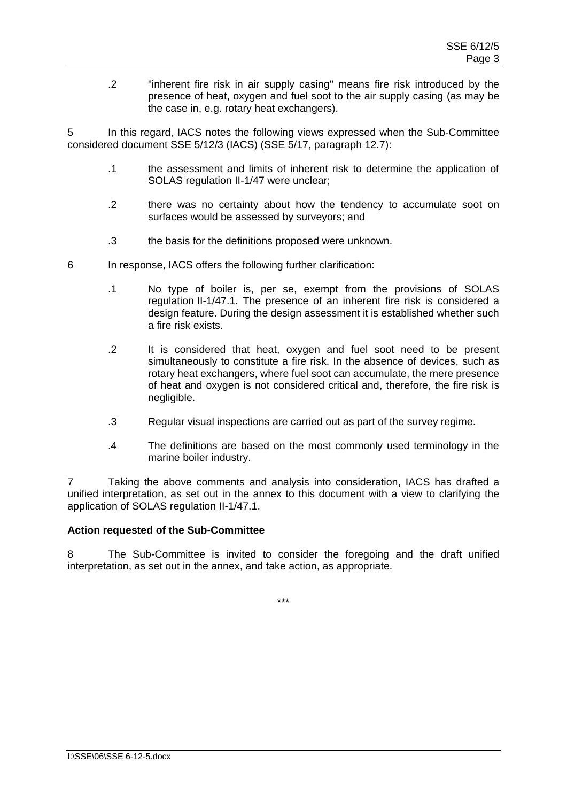.2 "inherent fire risk in air supply casing" means fire risk introduced by the presence of heat, oxygen and fuel soot to the air supply casing (as may be the case in, e.g. rotary heat exchangers).

5 In this regard, IACS notes the following views expressed when the Sub-Committee considered document SSE 5/12/3 (IACS) (SSE 5/17, paragraph 12.7):

- .1 the assessment and limits of inherent risk to determine the application of SOLAS regulation II-1/47 were unclear;
- .2 there was no certainty about how the tendency to accumulate soot on surfaces would be assessed by surveyors; and
- .3 the basis for the definitions proposed were unknown.
- 6 In response, IACS offers the following further clarification:
	- .1 No type of boiler is, per se, exempt from the provisions of SOLAS regulation II-1/47.1. The presence of an inherent fire risk is considered a design feature. During the design assessment it is established whether such a fire risk exists.
	- .2 It is considered that heat, oxygen and fuel soot need to be present simultaneously to constitute a fire risk. In the absence of devices, such as rotary heat exchangers, where fuel soot can accumulate, the mere presence of heat and oxygen is not considered critical and, therefore, the fire risk is negligible.
	- .3 Regular visual inspections are carried out as part of the survey regime.
	- .4 The definitions are based on the most commonly used terminology in the marine boiler industry.

7 Taking the above comments and analysis into consideration, IACS has drafted a unified interpretation, as set out in the annex to this document with a view to clarifying the application of SOLAS regulation II-1/47.1.

# **Action requested of the Sub-Committee**

8 The Sub-Committee is invited to consider the foregoing and the draft unified interpretation, as set out in the annex, and take action, as appropriate.

\*\*\*